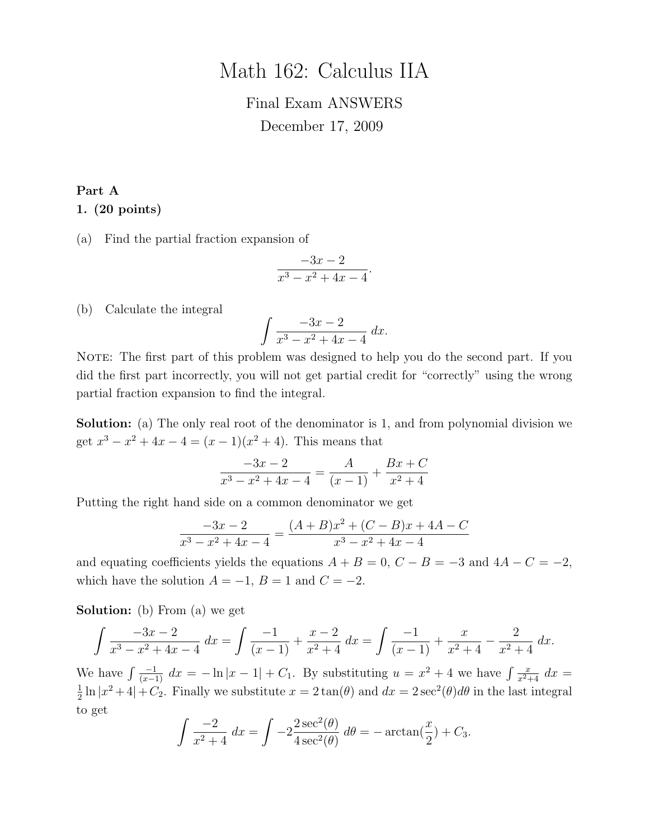# Math 162: Calculus IIA

# Final Exam ANSWERS December 17, 2009

#### Part A

#### 1. (20 points)

(a) Find the partial fraction expansion of

$$
\frac{-3x-2}{x^3-x^2+4x-4}.
$$

(b) Calculate the integral

$$
\int \frac{-3x - 2}{x^3 - x^2 + 4x - 4} \, dx.
$$

NOTE: The first part of this problem was designed to help you do the second part. If you did the first part incorrectly, you will not get partial credit for "correctly" using the wrong partial fraction expansion to find the integral.

Solution: (a) The only real root of the denominator is 1, and from polynomial division we get  $x^3 - x^2 + 4x - 4 = (x - 1)(x^2 + 4)$ . This means that

$$
\frac{-3x-2}{x^3 - x^2 + 4x - 4} = \frac{A}{(x-1)} + \frac{Bx + C}{x^2 + 4}
$$

Putting the right hand side on a common denominator we get

$$
\frac{-3x-2}{x^3-x^2+4x-4} = \frac{(A+B)x^2 + (C-B)x + 4A - C}{x^3 - x^2 + 4x - 4}
$$

and equating coefficients yields the equations  $A + B = 0$ ,  $C - B = -3$  and  $4A - C = -2$ , which have the solution  $A = -1$ ,  $B = 1$  and  $C = -2$ .

Solution: (b) From (a) we get

$$
\int \frac{-3x-2}{x^3 - x^2 + 4x - 4} dx = \int \frac{-1}{(x-1)} + \frac{x-2}{x^2 + 4} dx = \int \frac{-1}{(x-1)} + \frac{x}{x^2 + 4} - \frac{2}{x^2 + 4} dx.
$$

We have  $\int \frac{-1}{(x-1)} dx = -\ln|x-1| + C_1$ . By substituting  $u = x^2 + 4$  we have  $\int \frac{x}{x^2+4} dx =$ 1  $\frac{1}{2} \ln |x^2 + 4| + C_2$ . Finally we substitute  $x = 2 \tan(\theta)$  and  $dx = 2 \sec^2(\theta) d\theta$  in the last integral to get

$$
\int \frac{-2}{x^2 + 4} dx = \int -2 \frac{2 \sec^2(\theta)}{4 \sec^2(\theta)} d\theta = -\arctan(\frac{x}{2}) + C_3.
$$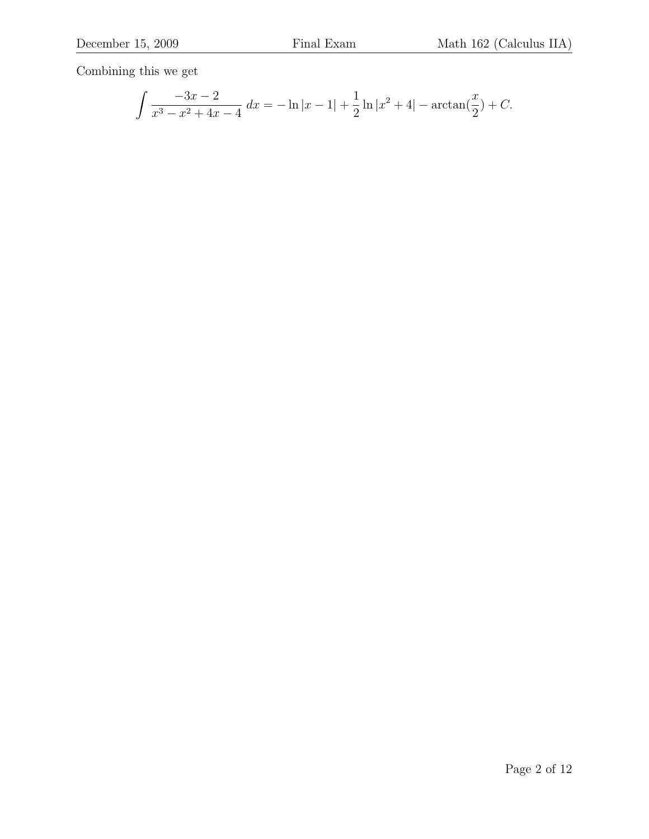Combining this we get

$$
\int \frac{-3x-2}{x^3 - x^2 + 4x - 4} dx = -\ln|x-1| + \frac{1}{2}\ln|x^2 + 4| - \arctan(\frac{x}{2}) + C.
$$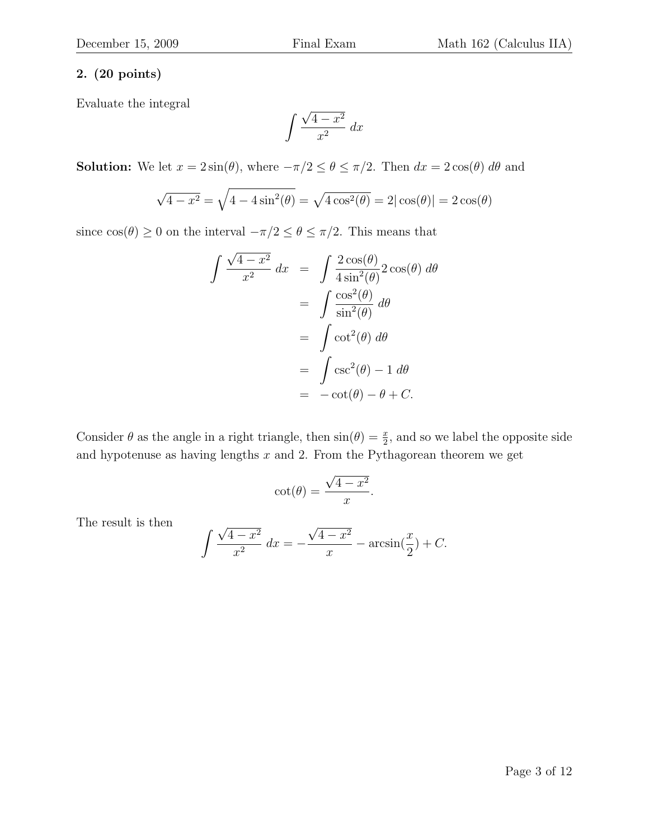### 2. (20 points)

Evaluate the integral

$$
\int \frac{\sqrt{4-x^2}}{x^2} \, dx
$$

**Solution:** We let  $x = 2\sin(\theta)$ , where  $-\pi/2 \le \theta \le \pi/2$ . Then  $dx = 2\cos(\theta) d\theta$  and

$$
\sqrt{4 - x^2} = \sqrt{4 - 4\sin^2(\theta)} = \sqrt{4\cos^2(\theta)} = 2|\cos(\theta)| = 2\cos(\theta)
$$

since  $\cos(\theta) \ge 0$  on the interval  $-\pi/2 \le \theta \le \pi/2$ . This means that

$$
\int \frac{\sqrt{4 - x^2}}{x^2} dx = \int \frac{2 \cos(\theta)}{4 \sin^2(\theta)} 2 \cos(\theta) d\theta
$$

$$
= \int \frac{\cos^2(\theta)}{\sin^2(\theta)} d\theta
$$

$$
= \int \cot^2(\theta) d\theta
$$

$$
= \int \csc^2(\theta) - 1 d\theta
$$

$$
= -\cot(\theta) - \theta + C.
$$

Consider  $\theta$  as the angle in a right triangle, then  $sin(\theta) = \frac{x}{2}$ , and so we label the opposite side and hypotenuse as having lengths  $x$  and 2. From the Pythagorean theorem we get

$$
\cot(\theta) = \frac{\sqrt{4 - x^2}}{x}.
$$

The result is then

$$
\int \frac{\sqrt{4 - x^2}}{x^2} dx = -\frac{\sqrt{4 - x^2}}{x} - \arcsin(\frac{x}{2}) + C.
$$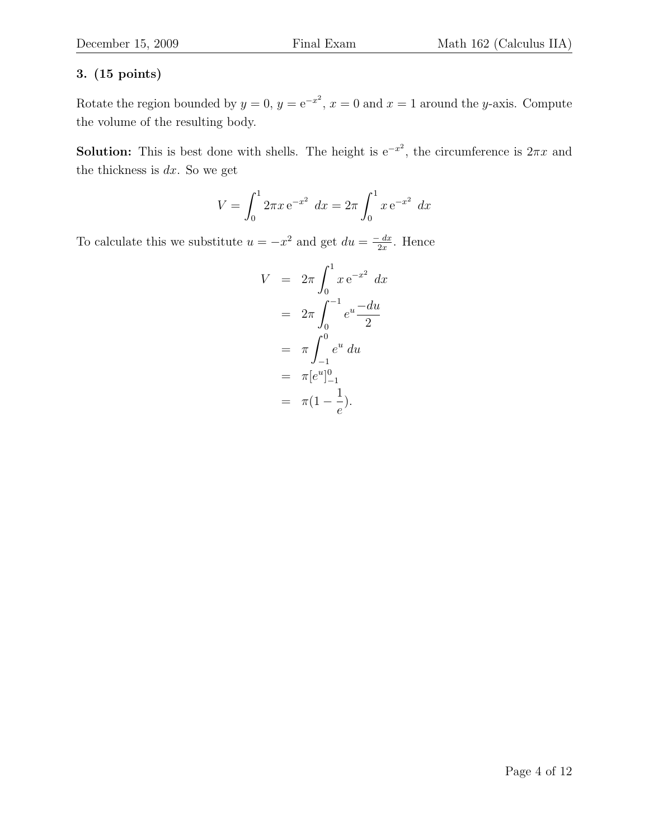Rotate the region bounded by  $y = 0$ ,  $y = e^{-x^2}$ ,  $x = 0$  and  $x = 1$  around the y-axis. Compute the volume of the resulting body.

**Solution:** This is best done with shells. The height is  $e^{-x^2}$ , the circumference is  $2\pi x$  and the thickness is  $dx$ . So we get

$$
V = \int_0^1 2\pi x e^{-x^2} dx = 2\pi \int_0^1 x e^{-x^2} dx
$$

To calculate this we substitute  $u = -x^2$  and get  $du = \frac{-dx}{2x}$  $\frac{dx}{2x}$ . Hence

$$
V = 2\pi \int_0^1 x e^{-x^2} dx
$$
  
=  $2\pi \int_0^{-1} e^u \frac{-du}{2}$   
=  $\pi \int_{-1}^0 e^u du$   
=  $\pi [e^u]_{-1}^0$   
=  $\pi (1 - \frac{1}{e}).$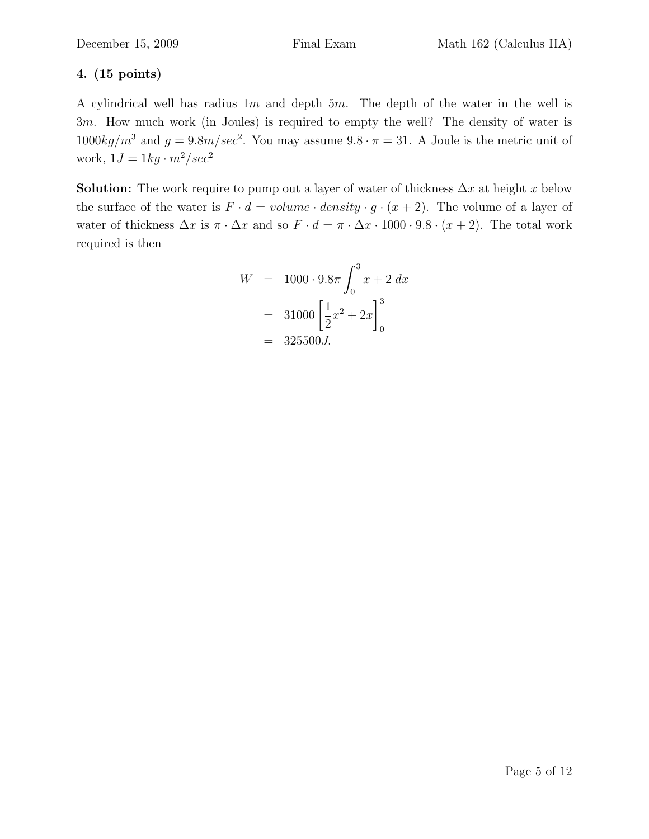A cylindrical well has radius  $1m$  and depth  $5m$ . The depth of the water in the well is 3m. How much work (in Joules) is required to empty the well? The density of water is  $1000kg/m^3$  and  $g = 9.8m/sec^2$ . You may assume  $9.8 \cdot \pi = 31$ . A Joule is the metric unit of work,  $1J = 1kg \cdot m^2/sec^2$ 

**Solution:** The work require to pump out a layer of water of thickness  $\Delta x$  at height x below the surface of the water is  $F \cdot d = volume \cdot density \cdot g \cdot (x+2)$ . The volume of a layer of water of thickness  $\Delta x$  is  $\pi \cdot \Delta x$  and so  $F \cdot d = \pi \cdot \Delta x \cdot 1000 \cdot 9.8 \cdot (x+2)$ . The total work required is then

$$
W = 1000 \cdot 9.8\pi \int_0^3 x + 2 \, dx
$$

$$
= 31000 \left[ \frac{1}{2} x^2 + 2x \right]_0^3
$$

$$
= 325500 J.
$$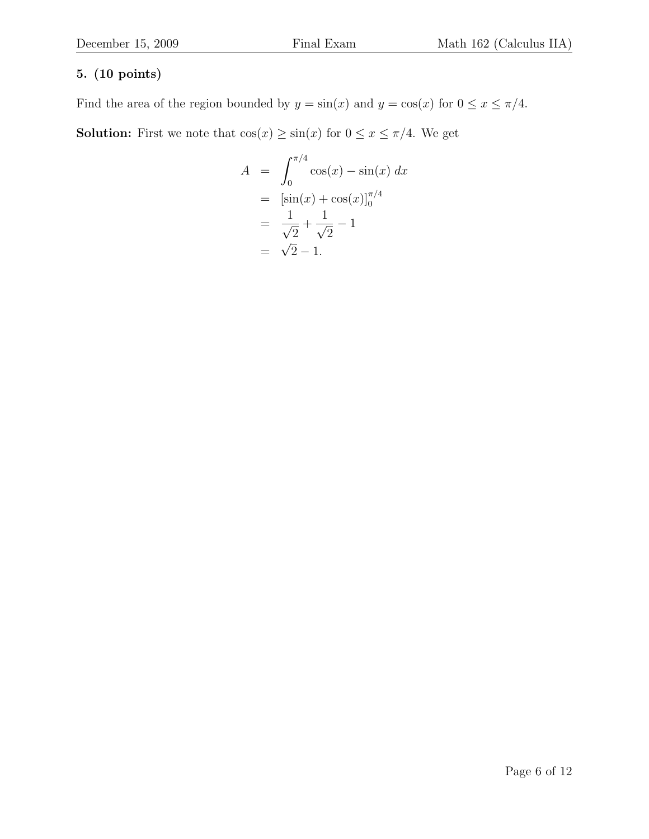Find the area of the region bounded by  $y = sin(x)$  and  $y = cos(x)$  for  $0 \le x \le \pi/4$ . **Solution:** First we note that  $\cos(x) \ge \sin(x)$  for  $0 \le x \le \pi/4$ . We get

$$
A = \int_0^{\pi/4} \cos(x) - \sin(x) dx
$$
  
=  $[\sin(x) + \cos(x)]_0^{\pi/4}$   
=  $\frac{1}{\sqrt{2}} + \frac{1}{\sqrt{2}} - 1$   
=  $\sqrt{2} - 1$ .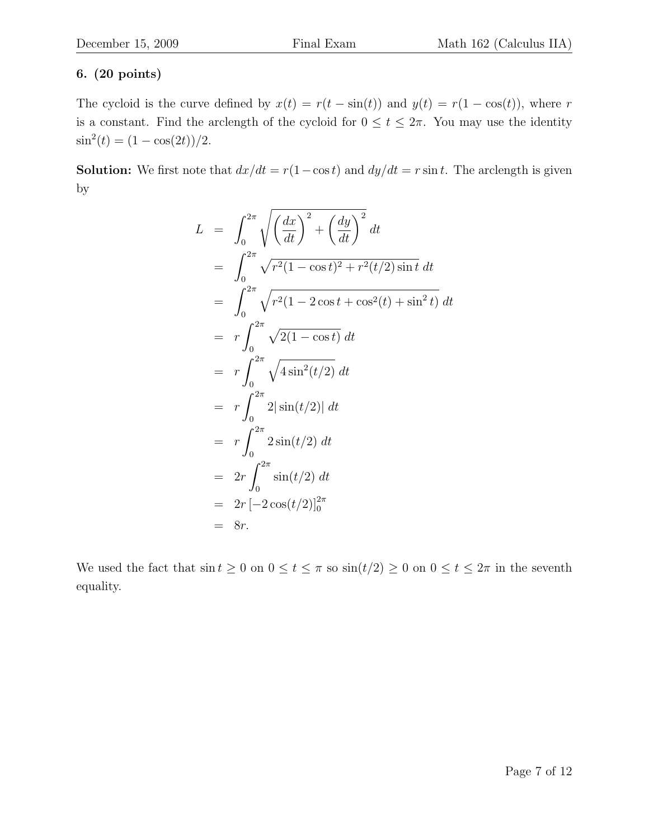## 6. (20 points)

The cycloid is the curve defined by  $x(t) = r(t - \sin(t))$  and  $y(t) = r(1 - \cos(t))$ , where r is a constant. Find the arclength of the cycloid for  $0 \le t \le 2\pi$ . You may use the identity  $\sin^2(t) = (1 - \cos(2t))/2.$ 

**Solution:** We first note that  $dx/dt = r(1-\cos t)$  and  $dy/dt = r \sin t$ . The arclength is given by

$$
L = \int_0^{2\pi} \sqrt{\left(\frac{dx}{dt}\right)^2 + \left(\frac{dy}{dt}\right)^2} dt
$$
  
\n
$$
= \int_0^{2\pi} \sqrt{r^2 (1 - \cos t)^2 + r^2 (t/2) \sin t} dt
$$
  
\n
$$
= \int_0^{2\pi} \sqrt{r^2 (1 - 2 \cos t + \cos^2(t) + \sin^2 t)} dt
$$
  
\n
$$
= r \int_0^{2\pi} \sqrt{2(1 - \cos t)} dt
$$
  
\n
$$
= r \int_0^{2\pi} \sqrt{4 \sin^2(t/2)} dt
$$
  
\n
$$
= r \int_0^{2\pi} 2 |\sin(t/2)| dt
$$
  
\n
$$
= r \int_0^{2\pi} 2 \sin(t/2) dt
$$
  
\n
$$
= 2r \int_0^{2\pi} \sin(t/2) dt
$$
  
\n
$$
= 2r [-2 \cos(t/2)]_0^{2\pi}
$$
  
\n
$$
= 8r.
$$

We used the fact that  $\sin t \geq 0$  on  $0 \leq t \leq \pi$  so  $\sin(t/2) \geq 0$  on  $0 \leq t \leq 2\pi$  in the seventh equality.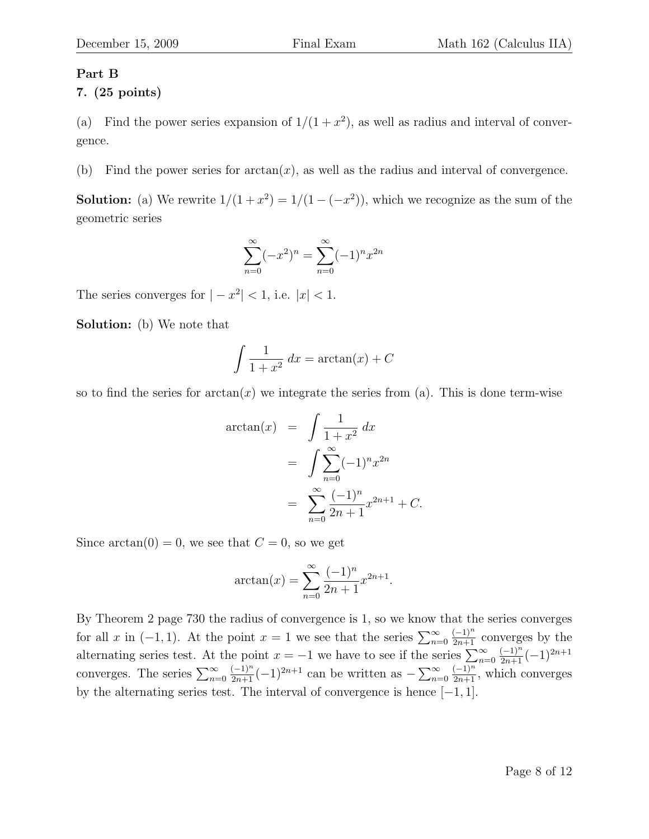### Part B

7. (25 points)

(a) Find the power series expansion of  $1/(1+x^2)$ , as well as radius and interval of convergence.

(b) Find the power series for  $arctan(x)$ , as well as the radius and interval of convergence.

**Solution:** (a) We rewrite  $1/(1+x^2) = 1/(1-(-x^2))$ , which we recognize as the sum of the geometric series

$$
\sum_{n=0}^{\infty} (-x^2)^n = \sum_{n=0}^{\infty} (-1)^n x^{2n}
$$

The series converges for  $|-x^2| < 1$ , i.e.  $|x| < 1$ .

Solution: (b) We note that

$$
\int \frac{1}{1+x^2} dx = \arctan(x) + C
$$

so to find the series for  $arctan(x)$  we integrate the series from (a). This is done term-wise

$$
\arctan(x) = \int \frac{1}{1+x^2} dx
$$
  
= 
$$
\int \sum_{n=0}^{\infty} (-1)^n x^{2n}
$$
  
= 
$$
\sum_{n=0}^{\infty} \frac{(-1)^n}{2n+1} x^{2n+1} + C.
$$

Since  $arctan(0) = 0$ , we see that  $C = 0$ , so we get

$$
\arctan(x) = \sum_{n=0}^{\infty} \frac{(-1)^n}{2n+1} x^{2n+1}.
$$

By Theorem 2 page 730 the radius of convergence is 1, so we know that the series converges for all x in  $(-1, 1)$ . At the point  $x = 1$  we see that the series  $\sum_{n=0}^{\infty}$  $\frac{(-1)^n}{2n+1}$  converges by the alternating series test. At the point  $x = -1$  we have to see if the series  $\sum_{n=0}^{\infty}$  $\frac{(-1)^n}{2n+1}(-1)^{2n+1}$ converges. The series  $\sum_{n=0}^{\infty}$  $\frac{(-1)^n}{2n+1}(-1)^{2n+1}$  can be written as  $-\sum_{n=0}^{\infty}$  $\frac{(-1)^n}{2n+1}$ , which converges by the alternating series test. The interval of convergence is hence  $[-1, 1]$ .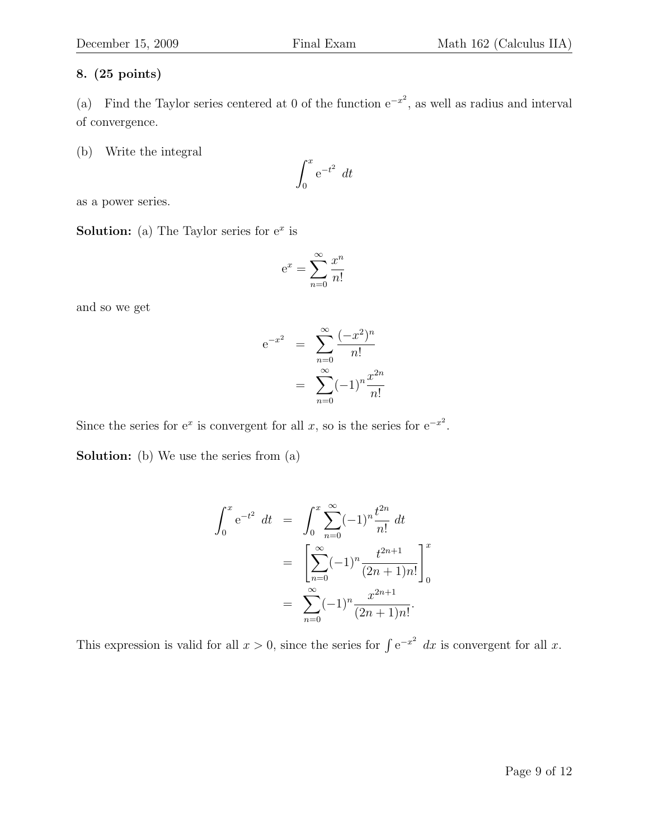(a) Find the Taylor series centered at 0 of the function  $e^{-x^2}$ , as well as radius and interval of convergence.

(b) Write the integral

$$
\int_0^x e^{-t^2} dt
$$

as a power series.

**Solution:** (a) The Taylor series for  $e^x$  is

$$
e^x = \sum_{n=0}^{\infty} \frac{x^n}{n!}
$$

and so we get

$$
e^{-x^{2}} = \sum_{n=0}^{\infty} \frac{(-x^{2})^{n}}{n!}
$$

$$
= \sum_{n=0}^{\infty} (-1)^{n} \frac{x^{2n}}{n!}
$$

Since the series for  $e^x$  is convergent for all x, so is the series for  $e^{-x^2}$ .

Solution: (b) We use the series from (a)

$$
\int_0^x e^{-t^2} dt = \int_0^x \sum_{n=0}^\infty (-1)^n \frac{t^{2n}}{n!} dt
$$
  
= 
$$
\left[ \sum_{n=0}^\infty (-1)^n \frac{t^{2n+1}}{(2n+1)n!} \right]_0^x
$$
  
= 
$$
\sum_{n=0}^\infty (-1)^n \frac{x^{2n+1}}{(2n+1)n!}.
$$

This expression is valid for all  $x > 0$ , since the series for  $\int e^{-x^2} dx$  is convergent for all x.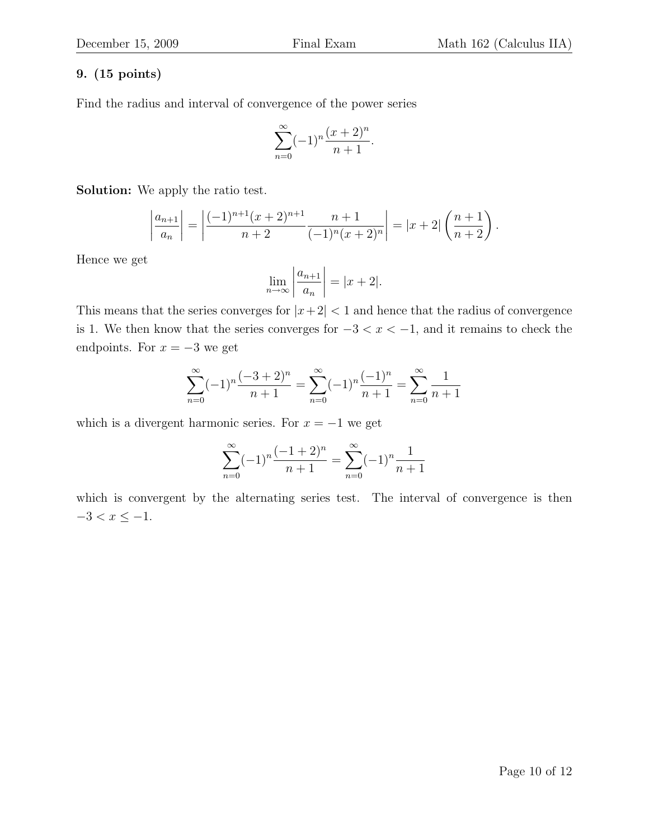Find the radius and interval of convergence of the power series

$$
\sum_{n=0}^{\infty} (-1)^n \frac{(x+2)^n}{n+1}.
$$

Solution: We apply the ratio test.

$$
\left|\frac{a_{n+1}}{a_n}\right| = \left|\frac{(-1)^{n+1}(x+2)^{n+1}}{n+2}\frac{n+1}{(-1)^n(x+2)^n}\right| = |x+2|\left(\frac{n+1}{n+2}\right).
$$

Hence we get

$$
\lim_{n \to \infty} \left| \frac{a_{n+1}}{a_n} \right| = |x + 2|.
$$

This means that the series converges for  $|x+2| < 1$  and hence that the radius of convergence is 1. We then know that the series converges for  $-3 < x < -1$ , and it remains to check the endpoints. For  $x = -3$  we get

$$
\sum_{n=0}^{\infty} (-1)^n \frac{(-3+2)^n}{n+1} = \sum_{n=0}^{\infty} (-1)^n \frac{(-1)^n}{n+1} = \sum_{n=0}^{\infty} \frac{1}{n+1}
$$

which is a divergent harmonic series. For  $x = -1$  we get

$$
\sum_{n=0}^{\infty} (-1)^n \frac{(-1+2)^n}{n+1} = \sum_{n=0}^{\infty} (-1)^n \frac{1}{n+1}
$$

which is convergent by the alternating series test. The interval of convergence is then  $-3 < x \leq -1$ .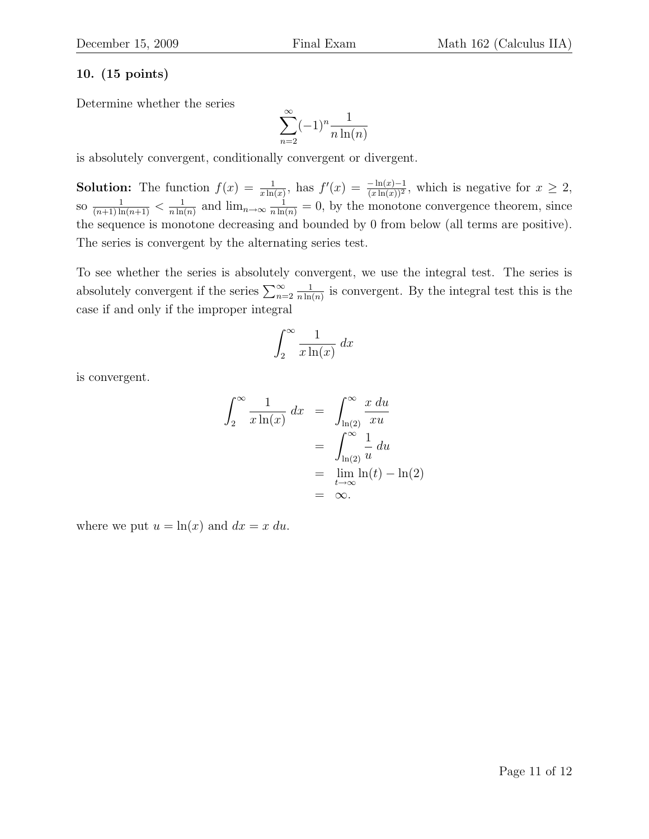Determine whether the series

$$
\sum_{n=2}^{\infty} (-1)^n \frac{1}{n \ln(n)}
$$

is absolutely convergent, conditionally convergent or divergent.

**Solution:** The function  $f(x) = \frac{1}{x \ln(x)}$ , has  $f'(x) = \frac{-\ln(x)-1}{(x \ln(x))^2}$ , which is negative for  $x \ge 2$ , so  $\frac{1}{(n+1)\ln(n+1)} < \frac{1}{n\ln(n+1)}$  $\frac{1}{n \ln(n)}$  and  $\lim_{n \to \infty} \frac{1}{n \ln(n)} = 0$ , by the monotone convergence theorem, since the sequence is monotone decreasing and bounded by 0 from below (all terms are positive). The series is convergent by the alternating series test.

To see whether the series is absolutely convergent, we use the integral test. The series is absolutely convergent if the series  $\sum_{n=2}^{\infty}$ 1  $\frac{1}{n \ln(n)}$  is convergent. By the integral test this is the case if and only if the improper integral

$$
\int_2^\infty \frac{1}{x\ln(x)}\,dx
$$

is convergent.

$$
\int_2^{\infty} \frac{1}{x \ln(x)} dx = \int_{\ln(2)}^{\infty} \frac{x du}{xu}
$$

$$
= \int_{\ln(2)}^{\infty} \frac{1}{u} du
$$

$$
= \lim_{t \to \infty} \ln(t) - \ln(2)
$$

$$
= \infty.
$$

where we put  $u = \ln(x)$  and  $dx = x du$ .